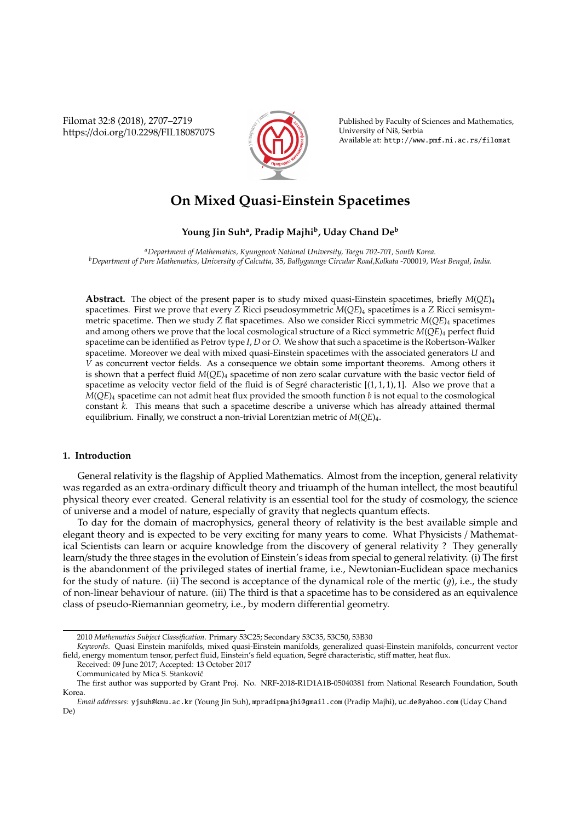Filomat 32:8 (2018), 2707–2719 https://doi.org/10.2298/FIL1808707S



Published by Faculty of Sciences and Mathematics, University of Niš, Serbia Available at: http://www.pmf.ni.ac.rs/filomat

# **On Mixed Quasi-Einstein Spacetimes**

# **Young Jin Suh<sup>a</sup> , Pradip Majhi<sup>b</sup> , Uday Chand De<sup>b</sup>**

*<sup>a</sup>Department of Mathematics, Kyungpook National University, Taegu 702-701, South Korea. <sup>b</sup>Department of Pure Mathematics, University of Calcutta,* 35*, Ballygaunge Circular Road,Kolkata -*700019*, West Bengal, India.*

**Abstract.** The object of the present paper is to study mixed quasi-Einstein spacetimes, briefly *M*(*QE*)<sup>4</sup> spacetimes. First we prove that every *Z* Ricci pseudosymmetric *M*(*QE*)<sup>4</sup> spacetimes is a *Z* Ricci semisymmetric spacetime. Then we study *Z* flat spacetimes. Also we consider Ricci symmetric  $M(QE)$ <sub>4</sub> spacetimes and among others we prove that the local cosmological structure of a Ricci symmetric *M*(*QE*)<sup>4</sup> perfect fluid spacetime can be identified as Petrov type *I*, *D* or *O*. We show that such a spacetime is the Robertson-Walker spacetime. Moreover we deal with mixed quasi-Einstein spacetimes with the associated generators *U* and *V* as concurrent vector fields. As a consequence we obtain some important theorems. Among others it is shown that a perfect fluid  $M(QE)_4$  spacetime of non zero scalar curvature with the basic vector field of spacetime as velocity vector field of the fluid is of Segré characteristic  $[(1, 1, 1), 1]$ . Also we prove that a *M*(*QE*)<sup>4</sup> spacetime can not admit heat flux provided the smooth function *b* is not equal to the cosmological constant *k*. This means that such a spacetime describe a universe which has already attained thermal equilibrium. Finally, we construct a non-trivial Lorentzian metric of *M*(*QE*)4.

# **1. Introduction**

General relativity is the flagship of Applied Mathematics. Almost from the inception, general relativity was regarded as an extra-ordinary difficult theory and triuamph of the human intellect, the most beautiful physical theory ever created. General relativity is an essential tool for the study of cosmology, the science of universe and a model of nature, especially of gravity that neglects quantum effects.

To day for the domain of macrophysics, general theory of relativity is the best available simple and elegant theory and is expected to be very exciting for many years to come. What Physicists / Mathematical Scientists can learn or acquire knowledge from the discovery of general relativity ? They generally learn/study the three stages in the evolution of Einstein's ideas from special to general relativity. (i) The first is the abandonment of the privileged states of inertial frame, i.e., Newtonian-Euclidean space mechanics for the study of nature. (ii) The second is acceptance of the dynamical role of the mertic  $(\vec{q})$ , i.e., the study of non-linear behaviour of nature. (iii) The third is that a spacetime has to be considered as an equivalence class of pseudo-Riemannian geometry, i.e., by modern differential geometry.

Received: 09 June 2017; Accepted: 13 October 2017

<sup>2010</sup> *Mathematics Subject Classification*. Primary 53C25; Secondary 53C35, 53C50, 53B30

*Keywords*. Quasi Einstein manifolds, mixed quasi-Einstein manifolds, generalized quasi-Einstein manifolds, concurrent vector field, energy momentum tensor, perfect fluid, Einstein's field equation, Segre characteristic, stiff matter, heat flux.

Communicated by Mica S. Stankovic´

The first author was supported by Grant Proj. No. NRF-2018-R1D1A1B-05040381 from National Research Foundation, South Korea.

*Email addresses:* yjsuh@knu.ac.kr (Young Jin Suh), mpradipmajhi@gmail.com (Pradip Majhi), uc de@yahoo.com (Uday Chand De)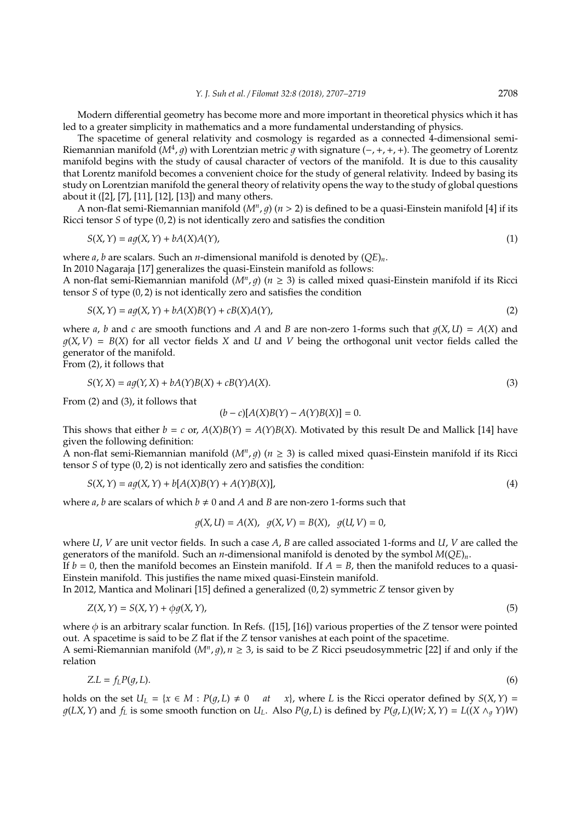Modern differential geometry has become more and more important in theoretical physics which it has led to a greater simplicity in mathematics and a more fundamental understanding of physics.

The spacetime of general relativity and cosmology is regarded as a connected 4-dimensional semi-Riemannian manifold ( $M^4$ , *g*) with Lorentzian metric *g* with signature (−, +, +, +). The geometry of Lorentz manifold begins with the study of causal character of vectors of the manifold. It is due to this causality that Lorentz manifold becomes a convenient choice for the study of general relativity. Indeed by basing its study on Lorentzian manifold the general theory of relativity opens the way to the study of global questions about it ([2], [7], [11], [12], [13]) and many others.

A non-flat semi-Riemannian manifold  $(M^n, g)$   $(n > 2)$  is defined to be a quasi-Einstein manifold [4] if its Ricci tensor *S* of type (0, 2) is not identically zero and satisfies the condition

$$
S(X,Y) = a g(X,Y) + b A(X) A(Y),
$$
\n<sup>(1)</sup>

where *a*, *b* are scalars. Such an *n*-dimensional manifold is denoted by (*QE*)*n*.

In 2010 Nagaraja [17] generalizes the quasi-Einstein manifold as follows:

A non-flat semi-Riemannian manifold  $(M^n, g)$  ( $n \geq 3$ ) is called mixed quasi-Einstein manifold if its Ricci tensor *S* of type (0, 2) is not identically zero and satisfies the condition

$$
S(X,Y) = aq(X,Y) + bA(X)B(Y) + cB(X)A(Y),
$$
\n(2)

where *a*, *b* and *c* are smooth functions and *A* and *B* are non-zero 1-forms such that  $q(X, U) = A(X)$  and  $q(X, V) = B(X)$  for all vector fields X and U and V being the orthogonal unit vector fields called the generator of the manifold.

From (2), it follows that

$$
S(Y, X) = ag(Y, X) + bA(Y)B(X) + cB(Y)A(X).
$$
\n(3)

From (2) and (3), it follows that

$$
(b - c)[A(X)B(Y) - A(Y)B(X)] = 0.
$$

This shows that either  $b = c$  or,  $A(X)B(Y) = A(Y)B(X)$ . Motivated by this result De and Mallick [14] have given the following definition:

A non-flat semi-Riemannian manifold (*M<sup>n</sup>* , 1) (*n* ≥ 3) is called mixed quasi-Einstein manifold if its Ricci tensor *S* of type (0, 2) is not identically zero and satisfies the condition:

$$
S(X,Y) = aq(X,Y) + b[A(X)B(Y) + A(Y)B(X)],
$$
\n(4)

where *a*, *b* are scalars of which  $b \neq 0$  and *A* and *B* are non-zero 1-forms such that

$$
g(X, U) = A(X), g(X, V) = B(X), g(U, V) = 0,
$$

where *U*, *V* are unit vector fields. In such a case *A*, *B* are called associated 1-forms and *U*, *V* are called the generators of the manifold. Such an *n*-dimensional manifold is denoted by the symbol *M*(*QE*)*n*.

If  $b = 0$ , then the manifold becomes an Einstein manifold. If  $A = B$ , then the manifold reduces to a quasi-Einstein manifold. This justifies the name mixed quasi-Einstein manifold.

In 2012, Mantica and Molinari [15] defined a generalized (0, 2) symmetric *Z* tensor given by

$$
Z(X,Y) = S(X,Y) + \phi g(X,Y),\tag{5}
$$

where  $\phi$  is an arbitrary scalar function. In Refs. ([15], [16]) various properties of the *Z* tensor were pointed out. A spacetime is said to be *Z* flat if the *Z* tensor vanishes at each point of the spacetime.

A semi-Riemannian manifold  $(M^n, g)$ ,  $n \geq 3$ , is said to be *Z* Ricci pseudosymmetric [22] if and only if the relation

$$
Z.L = f_L P(g, L). \tag{6}
$$

holds on the set  $U_L = \{x \in M : P(q, L) \neq 0 \quad at \quad x\}$ , where *L* is the Ricci operator defined by  $S(X, Y) =$  $g(LX, Y)$  and  $f_L$  is some smooth function on  $U_L$ . Also  $P(g, L)$  is defined by  $P(g, L)(W; X, Y) = L((X \wedge_q Y)W)$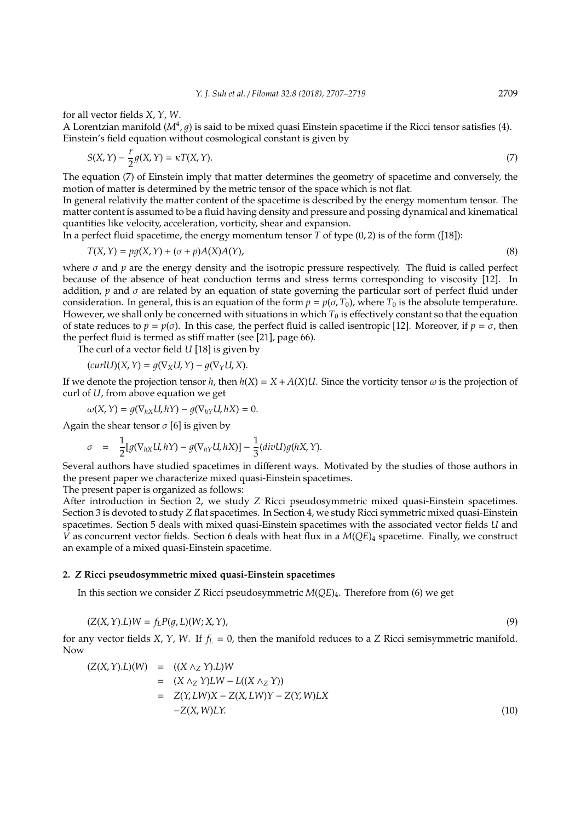for all vector fields *X*, *Y*, *W*.

A Lorentzian manifold ( $M^4$ ,  $g$ ) is said to be mixed quasi Einstein spacetime if the Ricci tensor satisfies (4). Einstein's field equation without cosmological constant is given by

$$
S(X,Y) - \frac{r}{2}g(X,Y) = \kappa T(X,Y). \tag{7}
$$

The equation (7) of Einstein imply that matter determines the geometry of spacetime and conversely, the motion of matter is determined by the metric tensor of the space which is not flat.

In general relativity the matter content of the spacetime is described by the energy momentum tensor. The matter content is assumed to be a fluid having density and pressure and possing dynamical and kinematical quantities like velocity, acceleration, vorticity, shear and expansion.

In a perfect fluid spacetime, the energy momentum tensor *T* of type (0, 2) is of the form ([18]):

$$
T(X,Y) = pg(X,Y) + (\sigma + p)A(X)A(Y),
$$
\n(8)

where  $\sigma$  and  $p$  are the energy density and the isotropic pressure respectively. The fluid is called perfect because of the absence of heat conduction terms and stress terms corresponding to viscosity [12]. In addition,  $p$  and  $\sigma$  are related by an equation of state governing the particular sort of perfect fluid under consideration. In general, this is an equation of the form  $p = p(\sigma, T_0)$ , where  $T_0$  is the absolute temperature. However, we shall only be concerned with situations in which *T*<sup>0</sup> is effectively constant so that the equation of state reduces to  $p = p(\sigma)$ . In this case, the perfect fluid is called isentropic [12]. Moreover, if  $p = \sigma$ , then the perfect fluid is termed as stiff matter (see [21], page 66).

The curl of a vector field *U* [18] is given by

$$
(curl U)(X, Y) = g(\nabla_X U, Y) - g(\nabla_Y U, X).
$$

If we denote the projection tensor *h*, then  $h(X) = X + A(X)U$ . Since the vorticity tensor  $\omega$  is the projection of curl of *U*, from above equation we get

$$
\omega(X, Y) = g(\nabla_{hX} U, hY) - g(\nabla_{hY} U, hX) = 0.
$$

Again the shear tensor  $\sigma$  [6] is given by

$$
\sigma = \frac{1}{2} [g(\nabla_{hX} U, hY) - g(\nabla_{hY} U, hX)] - \frac{1}{3} (div U) g(hX, Y).
$$

Several authors have studied spacetimes in different ways. Motivated by the studies of those authors in the present paper we characterize mixed quasi-Einstein spacetimes.

The present paper is organized as follows:

After introduction in Section 2, we study *Z* Ricci pseudosymmetric mixed quasi-Einstein spacetimes. Section 3 is devoted to study *Z* flat spacetimes. In Section 4, we study Ricci symmetric mixed quasi-Einstein spacetimes. Section 5 deals with mixed quasi-Einstein spacetimes with the associated vector fields *U* and *V* as concurrent vector fields. Section 6 deals with heat flux in a *M*(*QE*)<sup>4</sup> spacetime. Finally, we construct an example of a mixed quasi-Einstein spacetime.

#### **2.** *Z* **Ricci pseudosymmetric mixed quasi-Einstein spacetimes**

In this section we consider *Z* Ricci pseudosymmetric *M*(*QE*)4. Therefore from (6) we get

$$
(Z(X,Y).L)W = fLP(g,L)(W;X,Y),
$$
\n(9)

for any vector fields *X*, *Y*, *W*. If  $f_L = 0$ , then the manifold reduces to a *Z* Ricci semisymmetric manifold. Now

$$
(Z(X, Y).L)(W) = ((X \wedge_Z Y).L)W
$$
  
= (X \wedge\_Z Y)LW - L((X \wedge\_Z Y))  
= Z(Y,LW)X - Z(X,LW)Y - Z(Y,W)LX  
-Z(X,W)LY. (10)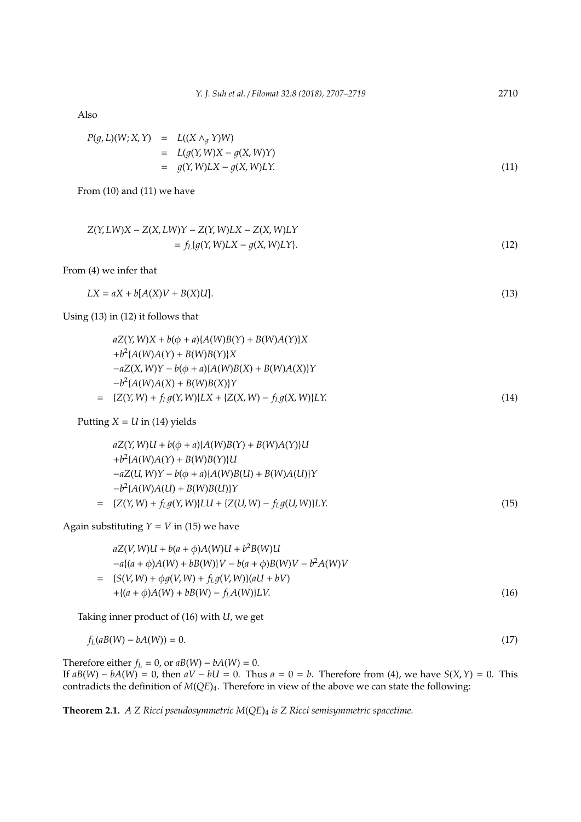Also

$$
P(g, L)(W; X, Y) = L((X \wedge_g Y)W)
$$
  
= 
$$
L(g(Y, W)X - g(X, W)Y)
$$
  
= 
$$
g(Y, W)LX - g(X, W)LY.
$$
 (11)

From (10) and (11) we have

$$
Z(Y, LW)X - Z(X, LW)Y - Z(Y, W)LX - Z(X, W)LY
$$
  
=  $f_L\{g(Y, W)LX - g(X, W)LY\}.$  (12)

From (4) we infer that

$$
LX = aX + b[A(X)V + B(X)U].
$$
\n<sup>(13)</sup>

Using (13) in (12) it follows that

$$
aZ(Y, W)X + b(\phi + a)\{A(W)B(Y) + B(W)A(Y)\}X
$$
  
+ $b^2\{A(W)A(Y) + B(W)B(Y)\}X$   
- $aZ(X, W)Y - b(\phi + a)\{A(W)B(X) + B(W)A(X)\}Y$   
- $b^2\{A(W)A(X) + B(W)B(X)\}Y$   
= { $Z(Y, W) + f_L g(Y, W)\}LX + \{Z(X, W) - f_L g(X, W)\}LY.$  (14)

Putting  $X = U$  in (14) yields

$$
aZ(Y, W)U + b(\phi + a)\{A(W)B(Y) + B(W)A(Y)\}U
$$
  
+
$$
b^2\{A(W)A(Y) + B(W)B(Y)\}U
$$
  
-
$$
aZ(U, W)Y - b(\phi + a)\{A(W)B(U) + B(W)A(U)\}Y
$$
  
-
$$
b^2\{A(W)A(U) + B(W)B(U)\}Y
$$
  
= {
$$
{Z(Y, W) + f_L g(Y, W)} LU + {Z(U, W) - f_L g(U, W)} LY.
$$
 (15)

Again substituting  $Y = V$  in (15) we have

$$
aZ(V,W)U + b(a + \phi)A(W)U + b^2B(W)U
$$
  
\n
$$
-a\{(a + \phi)A(W) + bB(W)\}V - b(a + \phi)B(W)V - b^2A(W)V
$$
  
\n
$$
= \{S(V,W) + \phi g(V,W) + f_L g(V,W)\}(aU + bV)
$$
  
\n
$$
+ \{(a + \phi)A(W) + bB(W) - f_L A(W)\}LV.
$$
\n(16)

Taking inner product of (16) with *U*, we get

$$
f_L(aB(W) - bA(W)) = 0.
$$
\n<sup>(17)</sup>

Therefore either  $f_L = 0$ , or  $aB(W) - bA(W) = 0$ . If  $aB(W) - bA(W) = 0$ , then  $aV - bU = 0$ . Thus  $a = 0 = b$ . Therefore from (4), we have  $S(X, Y) = 0$ . This contradicts the definition of *M*(*QE*)4. Therefore in view of the above we can state the following:

**Theorem 2.1.** *A Z Ricci pseudosymmetric M*(*QE*)<sup>4</sup> *is Z Ricci semisymmetric spacetime.*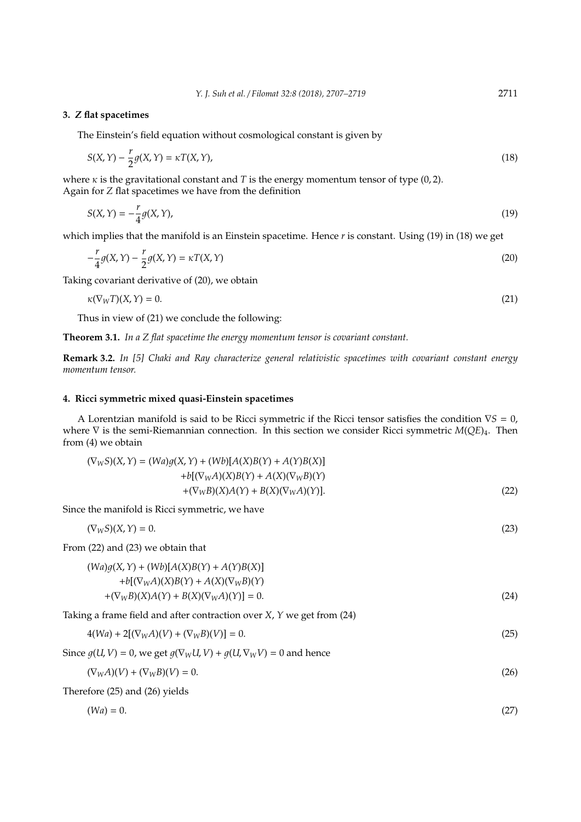## **3.** *Z* **flat spacetimes**

The Einstein's field equation without cosmological constant is given by

$$
S(X,Y) - \frac{r}{2}g(X,Y) = \kappa T(X,Y),\tag{18}
$$

where  $\kappa$  is the gravitational constant and *T* is the energy momentum tensor of type (0, 2). Again for *Z* flat spacetimes we have from the definition

$$
S(X,Y) = -\frac{r}{4}g(X,Y),\tag{19}
$$

which implies that the manifold is an Einstein spacetime. Hence *r* is constant. Using (19) in (18) we get

$$
-\frac{r}{4}g(X,Y) - \frac{r}{2}g(X,Y) = \kappa T(X,Y)
$$
\n(20)

Taking covariant derivative of (20), we obtain

$$
\kappa(\nabla_W T)(X, Y) = 0. \tag{21}
$$

Thus in view of (21) we conclude the following:

**Theorem 3.1.** *In a Z flat spacetime the energy momentum tensor is covariant constant.*

**Remark 3.2.** *In [5] Chaki and Ray characterize general relativistic spacetimes with covariant constant energy momentum tensor.*

# **4. Ricci symmetric mixed quasi-Einstein spacetimes**

A Lorentzian manifold is said to be Ricci symmetric if the Ricci tensor satisfies the condition ∇*S* = 0, where ∇ is the semi-Riemannian connection. In this section we consider Ricci symmetric *M*(*QE*)4. Then from (4) we obtain

$$
(\nabla_{W}S)(X,Y) = (Wa)g(X,Y) + (Wb)[A(X)B(Y) + A(Y)B(X)] + b[(\nabla_{W}A)(X)B(Y) + A(X)(\nabla_{W}B)(Y) + (\nabla_{W}B)(X)A(Y) + B(X)(\nabla_{W}A)(Y)].
$$
\n(22)

Since the manifold is Ricci symmetric, we have

$$
(\nabla_W S)(X, Y) = 0.
$$
\n
$$
(\nabla_W S)(X, Y) = 0.
$$
\n
$$
(23)
$$
\n
$$
(\nabla_W A)(X) = \frac{1}{2} \left[ \frac{1}{2} \left( \frac{1}{2} \right) \left( \frac{1}{2} \right) \left( \frac{1}{2} \right) \left( \frac{1}{2} \right) \left( \frac{1}{2} \right) \left( \frac{1}{2} \right) \left( \frac{1}{2} \right) \left( \frac{1}{2} \right) \left( \frac{1}{2} \right) \left( \frac{1}{2} \right) \left( \frac{1}{2} \right) \left( \frac{1}{2} \right) \left( \frac{1}{2} \right) \left( \frac{1}{2} \right) \left( \frac{1}{2} \right) \left( \frac{1}{2} \right) \left( \frac{1}{2} \right) \left( \frac{1}{2} \right) \left( \frac{1}{2} \right) \left( \frac{1}{2} \right) \left( \frac{1}{2} \right) \left( \frac{1}{2} \right) \left( \frac{1}{2} \right) \left( \frac{1}{2} \right) \left( \frac{1}{2} \right) \left( \frac{1}{2} \right) \left( \frac{1}{2} \right) \left( \frac{1}{2} \right) \left( \frac{1}{2} \right) \left( \frac{1}{2} \right) \left( \frac{1}{2} \right) \left( \frac{1}{2} \right) \left( \frac{1}{2} \right) \left( \frac{1}{2} \right) \left( \frac{1}{2} \right) \left( \frac{1}{2} \right) \left( \frac{1}{2} \right) \left( \frac{1}{2} \right) \left( \frac{1}{2} \right) \left( \frac{1}{2} \right) \left( \frac{1}{2} \right) \left( \frac{1}{2} \right) \left( \frac{1}{2} \right) \left( \frac{1}{2} \right) \left( \frac{1}{2} \right) \left( \frac{1}{2} \right) \left( \frac{1}{2} \right) \left( \frac{1}{2} \right) \left( \frac{1}{2} \right) \left( \frac{1}{2} \right) \left( \frac{1}{2} \right) \left( \frac{1}{2
$$

$$
4(Wa) + 2[(\nabla_W A)(V) + (\nabla_W B)(V)] = 0.
$$
\n(25)

Since  $g(U, V) = 0$ , we get  $g(\nabla_W U, V) + g(U, \nabla_W V) = 0$  and hence

$$
(\nabla_W A)(V) + (\nabla_W B)(V) = 0. \tag{26}
$$

Therefore (25) and (26) yields

$$
(Wa) = 0.\t(27)
$$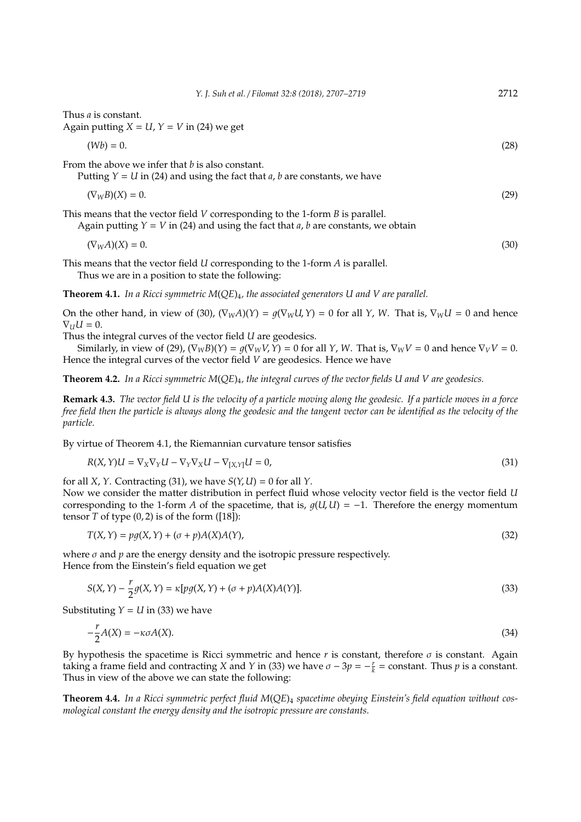|                                                                              | 1. $\mu$ of $\mu$ of $\mu$ , $\mu$ is $\mu$ of $\mu$ of $\mu$ of $\mu$ of $\mu$ of $\mu$ is the set of $\mu$                                                                            |      |
|------------------------------------------------------------------------------|-----------------------------------------------------------------------------------------------------------------------------------------------------------------------------------------|------|
| Thus <i>a</i> is constant.<br>Again putting $X = U$ , $Y = V$ in (24) we get |                                                                                                                                                                                         |      |
| $(Wb) = 0.$                                                                  |                                                                                                                                                                                         | (28) |
| From the above we infer that $b$ is also constant.                           | Putting $Y = U$ in (24) and using the fact that <i>a</i> , <i>b</i> are constants, we have                                                                                              |      |
| $(\nabla_W B)(X) = 0.$                                                       |                                                                                                                                                                                         | (29) |
|                                                                              | This means that the vector field $V$ corresponding to the 1-form $B$ is parallel.<br>Again putting $Y = V$ in (24) and using the fact that <i>a</i> , <i>b</i> are constants, we obtain |      |
| $(\nabla_W A)(X) = 0.$                                                       |                                                                                                                                                                                         | (30) |

*Y. J. Suh et al.* / *Filomat 32:8 (2018), 2707–2719* 2712

This means that the vector field *U* corresponding to the 1-form *A* is parallel.

Thus we are in a position to state the following:

**Theorem 4.1.** *In a Ricci symmetric M*(*QE*)4*, the associated generators U and V are parallel.*

On the other hand, in view of (30),  $(\nabla_W A)(Y) = g(\nabla_W U, Y) = 0$  for all *Y*, *W*. That is,  $\nabla_W U = 0$  and hence  $\nabla_U U = 0.$ 

Thus the integral curves of the vector field *U* are geodesics.

Similarly, in view of (29),  $(\nabla_W B)(Y) = q(\nabla_W V, Y) = 0$  for all *Y*, *W*. That is,  $\nabla_W V = 0$  and hence  $\nabla_V V = 0$ . Hence the integral curves of the vector field *V* are geodesics. Hence we have

**Theorem 4.2.** *In a Ricci symmetric M*(*QE*)4*, the integral curves of the vector fields U and V are geodesics.*

**Remark 4.3.** *The vector field U is the velocity of a particle moving along the geodesic. If a particle moves in a force free field then the particle is always along the geodesic and the tangent vector can be identified as the velocity of the particle.*

By virtue of Theorem 4.1, the Riemannian curvature tensor satisfies

$$
R(X,Y)U = \nabla_X \nabla_Y U - \nabla_Y \nabla_X U - \nabla_{[X,Y]} U = 0,
$$
\n(31)

for all *X*, *Y*. Contracting (31), we have  $S(Y, U) = 0$  for all *Y*.

Now we consider the matter distribution in perfect fluid whose velocity vector field is the vector field *U* corresponding to the 1-form *A* of the spacetime, that is,  $g(U, U) = -1$ . Therefore the energy momentum tensor  $T$  of type  $(0, 2)$  is of the form  $([18])$ :

$$
T(X,Y) = pg(X,Y) + (\sigma + p)A(X)A(Y),
$$
\n(32)

where  $\sigma$  and  $p$  are the energy density and the isotropic pressure respectively. Hence from the Einstein's field equation we get

$$
S(X,Y) - \frac{r}{2}g(X,Y) = \kappa[pg(X,Y) + (\sigma + p)A(X)A(Y)].
$$
\n(33)

Substituting  $Y = U$  in (33) we have

$$
-\frac{r}{2}A(X) = -\kappa \sigma A(X). \tag{34}
$$

By hypothesis the spacetime is Ricci symmetric and hence  $r$  is constant, therefore  $\sigma$  is constant. Again taking a frame field and contracting *X* and *Y* in (33) we have  $\sigma - 3p = -\frac{r}{k}$  = constant. Thus *p* is a constant. Thus in view of the above we can state the following:

**Theorem 4.4.** *In a Ricci symmetric perfect fluid M*(*QE*)<sup>4</sup> *spacetime obeying Einstein's field equation without cosmological constant the energy density and the isotropic pressure are constants.*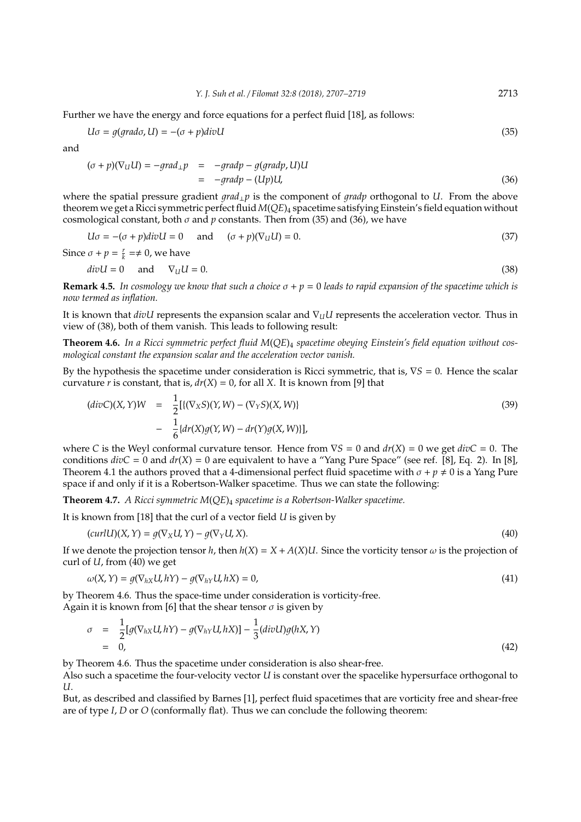Further we have the energy and force equations for a perfect fluid [18], as follows:

$$
U\sigma = g(\text{grad}\sigma, U) = -(\sigma + p)\text{div}U\tag{35}
$$

and

$$
(\sigma + p)(\nabla_U U) = -grad_{\perp} p = -grad p - g(grad p, U)U
$$
  
= -grad p - (Up)U, (36)

where the spatial pressure gradient 1*rad*⊥*p* is the component of 1*radp* orthogonal to *U*. From the above theorem we get a Ricci symmetric perfect fluid*M*(*QE*)<sup>4</sup> spacetime satisfying Einstein's field equation without cosmological constant, both  $\sigma$  and  $p$  constants. Then from (35) and (36), we have

$$
U\sigma = -(\sigma + p)divU = 0 \quad \text{and} \quad (\sigma + p)(\nabla_U U) = 0. \tag{37}
$$

Since  $\sigma + p = \frac{r}{k} \rightleftharpoons 0$ , we have

$$
divU = 0 \quad \text{and} \quad \nabla_U U = 0. \tag{38}
$$

**Remark 4.5.** *In cosmology we know that such a choice* σ + *p* = 0 *leads to rapid expansion of the spacetime which is now termed as inflation.*

It is known that *divU* represents the expansion scalar and ∇*UU* represents the acceleration vector. Thus in view of (38), both of them vanish. This leads to following result:

**Theorem 4.6.** *In a Ricci symmetric perfect fluid M*(*QE*)<sup>4</sup> *spacetime obeying Einstein's field equation without cosmological constant the expansion scalar and the acceleration vector vanish.*

By the hypothesis the spacetime under consideration is Ricci symmetric, that is, ∇*S* = 0. Hence the scalar curvature *r* is constant, that is,  $dr(X) = 0$ , for all *X*. It is known from [9] that

$$
(divC)(X,Y)W = \frac{1}{2}[\{(\nabla_X S)(Y,W) - (\nabla_Y S)(X,W)\}] - \frac{1}{6}\{dr(X)g(Y,W) - dr(Y)g(X,W)\}],
$$
\n(39)

where *C* is the Weyl conformal curvature tensor. Hence from  $\nabla S = 0$  and  $dr(X) = 0$  we get  $divC = 0$ . The conditions  $divC = 0$  and  $dr(X) = 0$  are equivalent to have a "Yang Pure Space" (see ref. [8], Eq. 2). In [8], Theorem 4.1 the authors proved that a 4-dimensional perfect fluid spacetime with  $\sigma + p \neq 0$  is a Yang Pure space if and only if it is a Robertson-Walker spacetime. Thus we can state the following:

**Theorem 4.7.** *A Ricci symmetric M*(*QE*)<sup>4</sup> *spacetime is a Robertson-Walker spacetime.*

It is known from [18] that the curl of a vector field *U* is given by

$$
(curl U)(X, Y) = g(\nabla_X U, Y) - g(\nabla_Y U, X). \tag{40}
$$

If we denote the projection tensor *h*, then  $h(X) = X + A(X)U$ . Since the vorticity tensor  $\omega$  is the projection of curl of *U*, from (40) we get

$$
\omega(X,Y) = g(\nabla_{hX}U, hY) - g(\nabla_{hY}U, hX) = 0,
$$
\n(41)

by Theorem 4.6. Thus the space-time under consideration is vorticity-free. Again it is known from [6] that the shear tensor  $\sigma$  is given by

$$
\sigma = \frac{1}{2} [g(\nabla_{hX} U, hY) - g(\nabla_{hY} U, hX)] - \frac{1}{3} (div U) g(hX, Y)
$$
  
= 0, (42)

by Theorem 4.6. Thus the spacetime under consideration is also shear-free.

Also such a spacetime the four-velocity vector *U* is constant over the spacelike hypersurface orthogonal to *U*.

But, as described and classified by Barnes [1], perfect fluid spacetimes that are vorticity free and shear-free are of type *I*, *D* or *O* (conformally flat). Thus we can conclude the following theorem: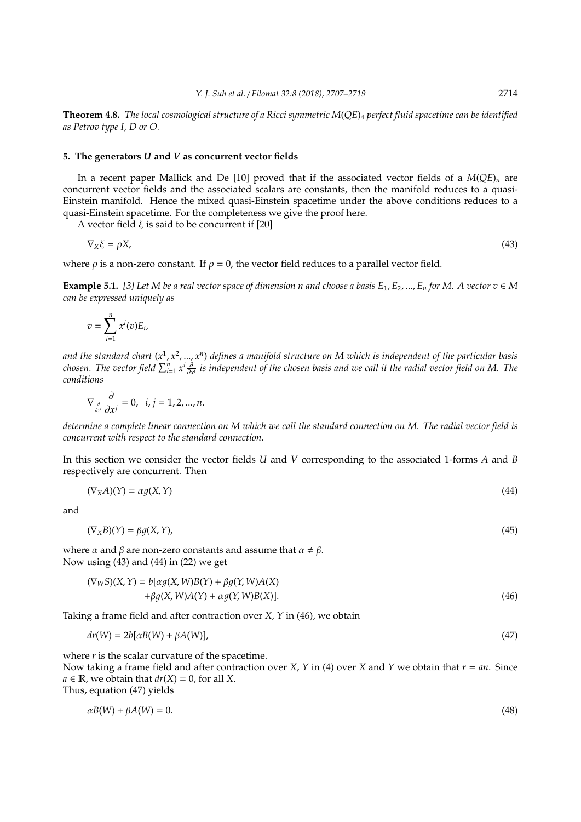**Theorem 4.8.** *The local cosmological structure of a Ricci symmetric M*(*QE*)<sup>4</sup> *perfect fluid spacetime can be identified as Petrov type I, D or O.*

## **5. The generators** *U* **and** *V* **as concurrent vector fields**

In a recent paper Mallick and De [10] proved that if the associated vector fields of a *M*(*QE*)*<sup>n</sup>* are concurrent vector fields and the associated scalars are constants, then the manifold reduces to a quasi-Einstein manifold. Hence the mixed quasi-Einstein spacetime under the above conditions reduces to a quasi-Einstein spacetime. For the completeness we give the proof here.

A vector field  $\xi$  is said to be concurrent if [20]

$$
\nabla_X \xi = \rho X,\tag{43}
$$

where  $\rho$  is a non-zero constant. If  $\rho = 0$ , the vector field reduces to a parallel vector field.

**Example 5.1.** [3] Let M be a real vector space of dimension n and choose a basis  $E_1, E_2, ..., E_n$  for M. A vector  $v \in M$ *can be expressed uniquely as*

$$
v=\sum_{i=1}^n x^i(v)E_i,
$$

and the standard chart (x<sup>1</sup>, x<sup>2</sup>, …, x<sup>n</sup>) defines a manifold structure on M which is independent of the particular basis *chosen. The vector field*  $\sum_{i=1}^n x^i \frac{\partial}{\partial x^i}$  is independent of the chosen basis and we call it the radial vector field on M. The *conditions*

$$
\nabla_{\frac{\partial}{\partial x^i}} \frac{\partial}{\partial x^j} = 0, \ \ i, j = 1, 2, ..., n.
$$

*determine a complete linear connection on M which we call the standard connection on M. The radial vector field is concurrent with respect to the standard connection.*

In this section we consider the vector fields *U* and *V* corresponding to the associated 1-forms *A* and *B* respectively are concurrent. Then

$$
(\nabla_X A)(Y) = \alpha g(X, Y) \tag{44}
$$

and

$$
(\nabla_X B)(Y) = \beta g(X, Y),\tag{45}
$$

where  $\alpha$  and  $\beta$  are non-zero constants and assume that  $\alpha \neq \beta$ . Now using (43) and (44) in (22) we get

$$
(\nabla_W S)(X, Y) = b[\alpha g(X, W)B(Y) + \beta g(Y, W)A(X) + \beta g(X, W)A(Y) + \alpha g(Y, W)B(X)].
$$
\n(46)

Taking a frame field and after contraction over *X*, *Y* in (46), we obtain

$$
dr(W) = 2b[\alpha B(W) + \beta A(W)],\tag{47}
$$

where  $r$  is the scalar curvature of the spacetime.

Now taking a frame field and after contraction over *X*, *Y* in (4) over *X* and *Y* we obtain that *r* = *an*. Since  $a \in \mathbb{R}$ , we obtain that  $dr(X) = 0$ , for all X.

Thus, equation (47) yields

$$
\alpha B(W) + \beta A(W) = 0. \tag{48}
$$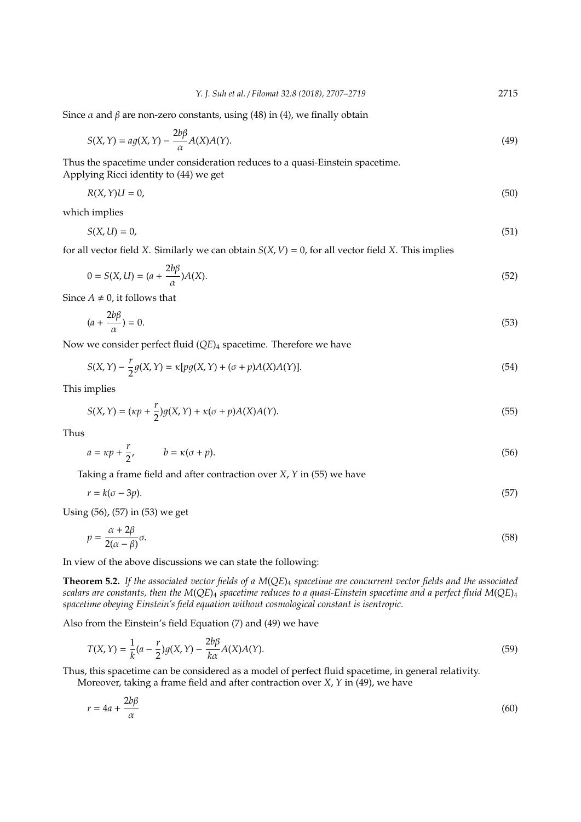Since  $\alpha$  and  $\beta$  are non-zero constants, using (48) in (4), we finally obtain

$$
S(X,Y) = ag(X,Y) - \frac{2b\beta}{\alpha}A(X)A(Y).
$$
\n(49)

Thus the spacetime under consideration reduces to a quasi-Einstein spacetime. Applying Ricci identity to (44) we get

$$
R(X,Y)U = 0,\t\t(50)
$$

which implies

$$
S(X, U) = 0,\tag{51}
$$

for all vector field *X*. Similarly we can obtain  $S(X, V) = 0$ , for all vector field *X*. This implies

$$
0 = S(X, U) = (a + \frac{2b\beta}{\alpha})A(X). \tag{52}
$$

Since  $A \neq 0$ , it follows that

$$
(a + \frac{2b\beta}{\alpha}) = 0.
$$
\n<sup>(53)</sup>

Now we consider perfect fluid (*QE*)<sub>4</sub> spacetime. Therefore we have

$$
S(X,Y) - \frac{r}{2}g(X,Y) = \kappa[pg(X,Y) + (\sigma + p)A(X)A(Y)].
$$
\n(54)

This implies

$$
S(X,Y) = (\kappa p + \frac{r}{2})g(X,Y) + \kappa(\sigma + p)A(X)A(Y).
$$
\n(55)

Thus

$$
a = \kappa p + \frac{r}{2}, \qquad b = \kappa(\sigma + p). \tag{56}
$$

Taking a frame field and after contraction over *X*, *Y* in (55) we have

$$
r = k(\sigma - 3p). \tag{57}
$$

Using (56), (57) in (53) we get

$$
p = \frac{\alpha + 2\beta}{2(\alpha - \beta)}\sigma.
$$
\n(58)

In view of the above discussions we can state the following:

**Theorem 5.2.** *If the associated vector fields of a M*(*QE*)<sup>4</sup> *spacetime are concurrent vector fields and the associated scalars are constants, then the M*(*QE*)<sup>4</sup> *spacetime reduces to a quasi-Einstein spacetime and a perfect fluid M*(*QE*)<sup>4</sup> *spacetime obeying Einstein's field equation without cosmological constant is isentropic.*

Also from the Einstein's field Equation (7) and (49) we have

$$
T(X,Y) = \frac{1}{k}(a - \frac{r}{2})g(X,Y) - \frac{2b\beta}{k\alpha}A(X)A(Y).
$$
\n(59)

Thus, this spacetime can be considered as a model of perfect fluid spacetime, in general relativity. Moreover, taking a frame field and after contraction over *X*, *Y* in (49), we have

$$
r = 4a + \frac{2b\beta}{\alpha} \tag{60}
$$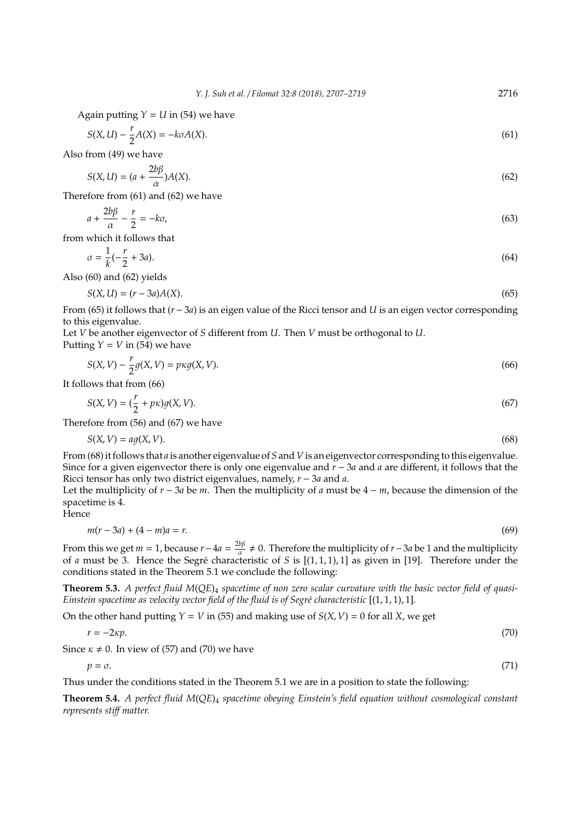Again putting  $Y = U$  in (54) we have

$$
S(X, U) - \frac{r}{2}A(X) = -k\sigma A(X). \tag{61}
$$

Also from (49) we have

$$
S(X, U) = (a + \frac{2b\beta}{\alpha})A(X). \tag{62}
$$

Therefore from (61) and (62) we have

$$
a + \frac{2b\beta}{\alpha} - \frac{r}{2} = -k\sigma,\tag{63}
$$

from which it follows that

$$
\sigma = \frac{1}{k}(-\frac{r}{2} + 3a). \tag{64}
$$

Also (60) and (62) yields

$$
S(X, U) = (r - 3a)A(X). \tag{65}
$$

From (65) it follows that (*r* − 3*a*) is an eigen value of the Ricci tensor and *U* is an eigen vector corresponding to this eigenvalue.

Let *V* be another eigenvector of *S* different from *U*. Then *V* must be orthogonal to *U*. Putting  $Y = V$  in (54) we have

$$
S(X, V) - \frac{r}{2}g(X, V) = pr\mathcal{G}(X, V). \tag{66}
$$

It follows that from (66)

$$
S(X, V) = \left(\frac{r}{2} + p\kappa\right)g(X, V). \tag{67}
$$

Therefore from (56) and (67) we have

$$
S(X, V) = a g(X, V). \tag{68}
$$

From (68) it follows that *a* is another eigenvalue of *S* and *V* is an eigenvector corresponding to this eigenvalue. Since for a given eigenvector there is only one eigenvalue and *r* − 3*a* and *a* are different, it follows that the Ricci tensor has only two district eigenvalues, namely, *r* − 3*a* and *a*.

Let the multiplicity of *r* − 3*a* be *m*. Then the multiplicity of *a* must be 4 − *m*, because the dimension of the spacetime is 4.

**Hence** 

$$
m(r - 3a) + (4 - m)a = r.
$$
 (69)

From this we get *m* = 1, because *r* − 4*a* =  $\frac{2b\beta}{\alpha}$  $\frac{b\beta}{\alpha}$  ≠ 0. Therefore the multiplicity of *r*−3*a* be 1 and the multiplicity of *a* must be 3. Hence the Segré characteristic of *S* is  $[(1, 1, 1), 1]$  as given in [19]. Therefore under the conditions stated in the Theorem 5.1 we conclude the following:

**Theorem 5.3.** *A perfect fluid M*(*QE*)<sup>4</sup> *spacetime of non zero scalar curvature with the basic vector field of quasi-Einstein spacetime as velocity vector field of the fluid is of Segré characteristic* [(1, 1, 1), 1].

On the other hand putting  $Y = V$  in (55) and making use of  $S(X, V) = 0$  for all *X*, we get

$$
r = -2\kappa p.\tag{70}
$$

Since  $\kappa \neq 0$ . In view of (57) and (70) we have

 $p = \sigma$ . (71)

Thus under the conditions stated in the Theorem 5.1 we are in a position to state the following:

**Theorem 5.4.** *A perfect fluid M*(*QE*)<sup>4</sup> *spacetime obeying Einstein's field equation without cosmological constant represents sti*ff *matter.*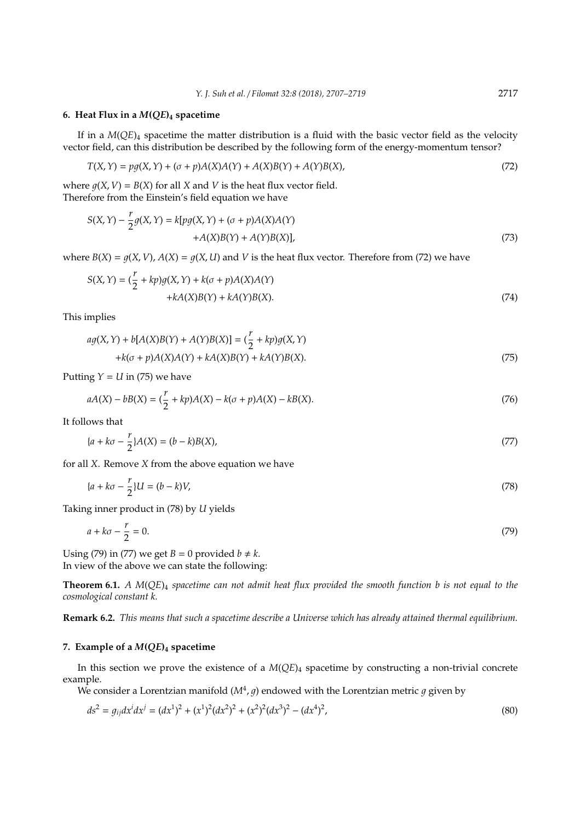## **6. Heat Flux in a** *M***(***QE***)<sup>4</sup> spacetime**

If in a  $M(OE)<sub>4</sub>$  spacetime the matter distribution is a fluid with the basic vector field as the velocity vector field, can this distribution be described by the following form of the energy-momentum tensor?

$$
T(X, Y) = pg(X, Y) + (\sigma + p)A(X)A(Y) + A(X)B(Y) + A(Y)B(X),
$$
\n(72)

where  $g(X, V) = B(X)$  for all *X* and *V* is the heat flux vector field. Therefore from the Einstein's field equation we have

$$
S(X,Y) - \frac{r}{2}g(X,Y) = k[pg(X,Y) + (\sigma + p)A(X)A(Y) + A(Y)B(X)],
$$
\n
$$
(73)
$$

where  $B(X) = q(X, V)$ ,  $A(X) = q(X, U)$  and V is the heat flux vector. Therefore from (72) we have

$$
S(X,Y) = \left(\frac{r}{2} + kp\right)g(X,Y) + k(\sigma + p)A(X)A(Y) + kA(Y)B(X) + kA(Y)B(X).
$$
\n(74)

This implies

$$
ag(X,Y) + b[A(X)B(Y) + A(Y)B(X)] = \left(\frac{r}{2} + kp\right)g(X,Y)
$$
  
+ $k(\sigma + p)A(X)A(Y) + kA(X)B(Y) + kA(Y)B(X).$  (75)

Putting  $Y = U$  in (75) we have

$$
aA(X) - bB(X) = \left(\frac{r}{2} + kp\right)A(X) - k(\sigma + p)A(X) - kB(X). \tag{76}
$$

It follows that

$$
\{a + k\sigma - \frac{r}{2}\}A(X) = (b - k)B(X),\tag{77}
$$

for all *X*. Remove *X* from the above equation we have

$$
\{a + k\sigma - \frac{r}{2}\}U = (b - k)V,\tag{78}
$$

Taking inner product in (78) by *U* yields

$$
a + k\sigma - \frac{r}{2} = 0.\tag{79}
$$

Using (79) in (77) we get  $B = 0$  provided  $b \neq k$ . In view of the above we can state the following:

**Theorem 6.1.** *A M*(*QE*)<sup>4</sup> *spacetime can not admit heat flux provided the smooth function b is not equal to the cosmological constant k.*

**Remark 6.2.** *This means that such a spacetime describe a Universe which has already attained thermal equilibrium.*

# **7. Example of a** *M***(***QE***)<sup>4</sup> spacetime**

In this section we prove the existence of a *M*(*QE*)<sup>4</sup> spacetime by constructing a non-trivial concrete example.

We consider a Lorentzian manifold ( $M^4$ ,  $g$ ) endowed with the Lorentzian metric  $g$  given by

$$
ds^{2} = g_{ij}dx^{i}dx^{j} = (dx^{1})^{2} + (x^{1})^{2}(dx^{2})^{2} + (x^{2})^{2}(dx^{3})^{2} - (dx^{4})^{2},
$$
\n(80)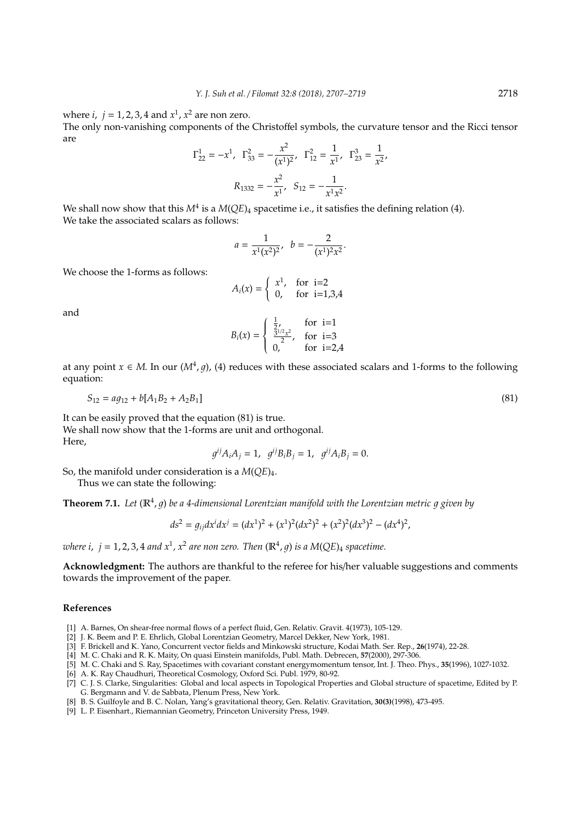where  $i, j = 1, 2, 3, 4$  and  $x<sup>1</sup>, x<sup>2</sup>$  are non zero.

The only non-vanishing components of the Christoffel symbols, the curvature tensor and the Ricci tensor are

$$
\Gamma_{22}^{1} = -x^{1}, \ \Gamma_{33}^{2} = -\frac{x^{2}}{(x^{1})^{2}}, \ \Gamma_{12}^{2} = \frac{1}{x^{1}}, \ \Gamma_{23}^{3} = \frac{1}{x^{2}},
$$

$$
R_{1332} = -\frac{x^{2}}{x^{1}}, \ S_{12} = -\frac{1}{x^{1}x^{2}}.
$$

We shall now show that this  $M^4$  is a  $M(QE)_4$  spacetime i.e., it satisfies the defining relation (4). We take the associated scalars as follows:

$$
a = \frac{1}{x^1(x^2)^2}, \quad b = -\frac{2}{(x^1)^2x^2}.
$$

We choose the 1-forms as follows:

$$
A_i(x) = \begin{cases} x^1, & \text{for } i=2\\ 0, & \text{for } i=1,3,4 \end{cases}
$$

and

$$
B_i(x) = \begin{cases} \frac{1}{2}, & \text{for } i=1\\ \frac{3^{1/2}x^2}{2}, & \text{for } i=3\\ 0, & \text{for } i=2,4 \end{cases}
$$

at any point  $x \in M$ . In our  $(M^4, g)$ , (4) reduces with these associated scalars and 1-forms to the following equation:

$$
S_{12} = a g_{12} + b [A_1 B_2 + A_2 B_1]
$$
\n<sup>(81)</sup>

It can be easily proved that the equation (81) is true. We shall now show that the 1-forms are unit and orthogonal. Here,

$$
g^{ij}A_iA_j = 1
$$
,  $g^{ij}B_iB_j = 1$ ,  $g^{ij}A_iB_j = 0$ .

So, the manifold under consideration is a *M*(*QE*)4.

Thus we can state the following:

**Theorem 7.1.** Let  $(\mathbb{R}^4, g)$  be a 4-dimensional Lorentzian manifold with the Lorentzian metric g given by

$$
ds^{2} = g_{ij}dx^{i}dx^{j} = (dx^{1})^{2} + (x^{1})^{2}(dx^{2})^{2} + (x^{2})^{2}(dx^{3})^{2} - (dx^{4})^{2},
$$

where  $i$ ,  $j = 1, 2, 3, 4$  and  $x^1$ ,  $x^2$  are non zero. Then  $(\mathbb{R}^4, g)$  is a  $M(QE)_4$  spacetime.

**Acknowledgment:** The authors are thankful to the referee for his/her valuable suggestions and comments towards the improvement of the paper.

## **References**

- [1] A. Barnes, On shear-free normal flows of a perfect fluid, Gen. Relativ. Gravit. 4(1973), 105-129.
- [2] J. K. Beem and P. E. Ehrlich, Global Lorentzian Geometry, Marcel Dekker, New York, 1981.
- [3] F. Brickell and K. Yano, Concurrent vector fields and Minkowski structure, Kodai Math. Ser. Rep., **26**(1974), 22-28.
- [4] M. C. Chaki and R. K. Maity, On quasi Einstein manifolds, Publ. Math. Debrecen, **57**(2000), 297-306.
- [5] M. C. Chaki and S. Ray, Spacetimes with covariant constant energymomentum tensor, Int. J. Theo. Phys., **35**(1996), 1027-1032.
- [6] A. K. Ray Chaudhuri, Theoretical Cosmology, Oxford Sci. Publ. 1979, 80-92.
- [7] C. J. S. Clarke, Singularities: Global and local aspects in Topological Properties and Global structure of spacetime, Edited by P. G. Bergmann and V. de Sabbata, Plenum Press, New York.
- [8] B. S. Guilfoyle and B. C. Nolan, Yang's gravitational theory, Gen. Relativ. Gravitation, **30(3)**(1998), 473-495.
- [9] L. P. Eisenhart., Riemannian Geometry, Princeton University Press, 1949.